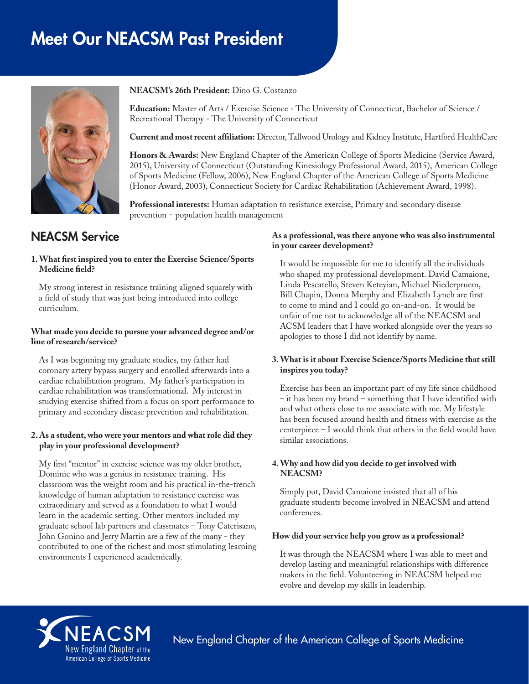# Meet Our NEACSM Past President



**NEACSM's 26th President:** Dino G. Costanzo

**Education:** Master of Arts / Exercise Science - The University of Connecticut, Bachelor of Science / Recreational Therapy - The University of Connecticut

**Current and most recent affiliation:** Director, Tallwood Urology and Kidney Institute, Hartford HealthCare

**Honors & Awards:** New England Chapter of the American College of Sports Medicine (Service Award, 2015), University of Connecticut (Outstanding Kinesiology Professional Award, 2015), American College of Sports Medicine (Fellow, 2006), New England Chapter of the American College of Sports Medicine (Honor Award, 2003), Connecticut Society for Cardiac Rehabilitation (Achievement Award, 1998).

**Professional interests:** Human adaptation to resistance exercise, Primary and secondary disease prevention – population health management

# NEACSM Service

#### **1. What first inspired you to enter the Exercise Science/Sports Medicine field?**

My strong interest in resistance training aligned squarely with a field of study that was just being introduced into college curriculum.

#### **What made you decide to pursue your advanced degree and/or line of research/service?**

As I was beginning my graduate studies, my father had coronary artery bypass surgery and enrolled afterwards into a cardiac rehabilitation program. My father's participation in cardiac rehabilitation was transformational. My interest in studying exercise shifted from a focus on sport performance to primary and secondary disease prevention and rehabilitation.

#### **2. As a student, who were your mentors and what role did they play in your professional development?**

My first "mentor" in exercise science was my older brother, Dominic who was a genius in resistance training. His classroom was the weight room and his practical in-the-trench knowledge of human adaptation to resistance exercise was extraordinary and served as a foundation to what I would learn in the academic setting. Other mentors included my graduate school lab partners and classmates – Tony Caterisano, John Gonino and Jerry Martin are a few of the many - they contributed to one of the richest and most stimulating learning environments I experienced academically.

#### **As a professional, was there anyone who was also instrumental in your career development?**

It would be impossible for me to identify all the individuals who shaped my professional development. David Camaione, Linda Pescatello, Steven Keteyian, Michael Niederpruem, Bill Chapin, Donna Murphy and Elizabeth Lynch are first to come to mind and I could go on-and-on. It would be unfair of me not to acknowledge all of the NEACSM and ACSM leaders that I have worked alongside over the years so apologies to those I did not identify by name.

#### **3. What is it about Exercise Science/Sports Medicine that still inspires you today?**

Exercise has been an important part of my life since childhood – it has been my brand – something that I have identified with and what others close to me associate with me. My lifestyle has been focused around health and fitness with exercise as the centerpiece – I would think that others in the field would have similar associations.

## **4. Why and how did you decide to get involved with NEACSM?**

Simply put, David Camaione insisted that all of his graduate students become involved in NEACSM and attend conferences.

#### **How did your service help you grow as a professional?**

It was through the NEACSM where I was able to meet and develop lasting and meaningful relationships with difference makers in the field. Volunteering in NEACSM helped me evolve and develop my skills in leadership.



New England Chapter of the American College of Sports Medicine